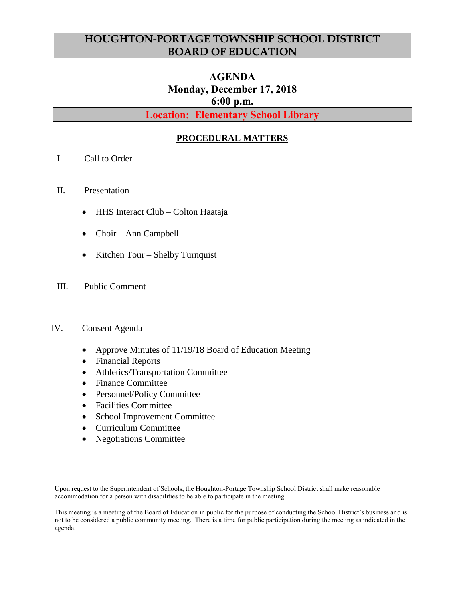# **HOUGHTON-PORTAGE TOWNSHIP SCHOOL DISTRICT BOARD OF EDUCATION**

# **AGENDA Monday, December 17, 2018 6:00 p.m.**

**Location: Elementary School Library**

## **PROCEDURAL MATTERS**

- I. Call to Order
- II. Presentation
	- HHS Interact Club Colton Haataja
	- Choir Ann Campbell
	- Kitchen Tour Shelby Turnquist
- III. Public Comment

#### IV. Consent Agenda

- Approve Minutes of 11/19/18 Board of Education Meeting
- Financial Reports
- Athletics/Transportation Committee
- Finance Committee
- Personnel/Policy Committee
- Facilities Committee
- School Improvement Committee
- Curriculum Committee
- Negotiations Committee

Upon request to the Superintendent of Schools, the Houghton-Portage Township School District shall make reasonable accommodation for a person with disabilities to be able to participate in the meeting.

This meeting is a meeting of the Board of Education in public for the purpose of conducting the School District's business and is not to be considered a public community meeting. There is a time for public participation during the meeting as indicated in the agenda.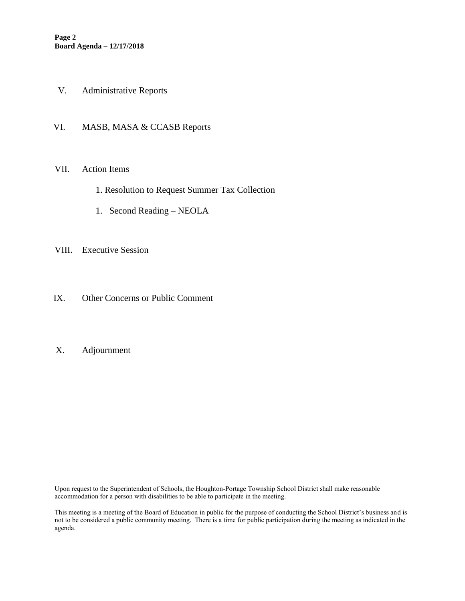- V. Administrative Reports
- VI. MASB, MASA & CCASB Reports

#### VII. Action Items

- 1. Resolution to Request Summer Tax Collection
- 1. Second Reading NEOLA
- VIII. Executive Session
- IX. Other Concerns or Public Comment

## X. Adjournment

Upon request to the Superintendent of Schools, the Houghton-Portage Township School District shall make reasonable accommodation for a person with disabilities to be able to participate in the meeting.

This meeting is a meeting of the Board of Education in public for the purpose of conducting the School District's business and is not to be considered a public community meeting. There is a time for public participation during the meeting as indicated in the agenda.